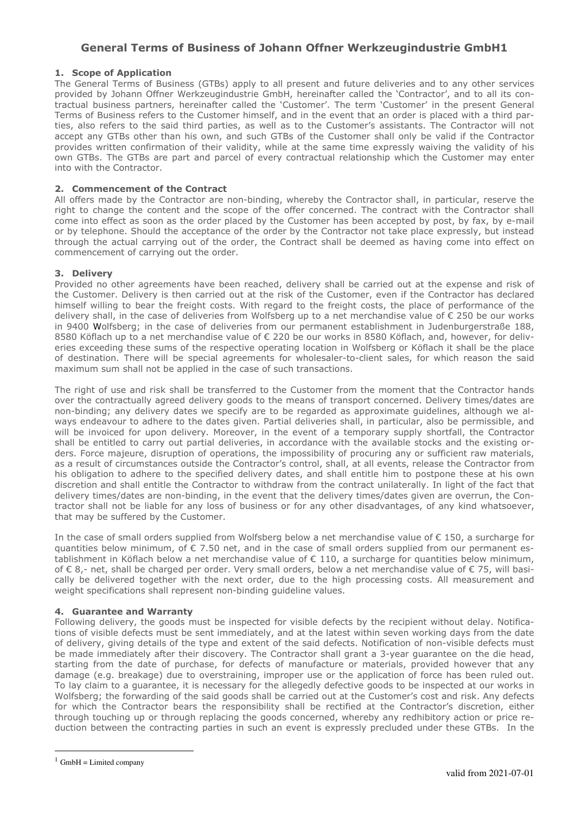# **General Terms of Business of Johann Offner Werkzeugindustrie GmbH1**

## **1. Scope of Application**

The General Terms of Business (GTBs) apply to all present and future deliveries and to any other services provided by Johann Offner Werkzeugindustrie GmbH, hereinafter called the 'Contractor', and to all its contractual business partners, hereinafter called the 'Customer'. The term 'Customer' in the present General Terms of Business refers to the Customer himself, and in the event that an order is placed with a third parties, also refers to the said third parties, as well as to the Customer's assistants. The Contractor will not accept any GTBs other than his own, and such GTBs of the Customer shall only be valid if the Contractor provides written confirmation of their validity, while at the same time expressly waiving the validity of his own GTBs. The GTBs are part and parcel of every contractual relationship which the Customer may enter into with the Contractor.

### **2. Commencement of the Contract**

All offers made by the Contractor are non-binding, whereby the Contractor shall, in particular, reserve the right to change the content and the scope of the offer concerned. The contract with the Contractor shall come into effect as soon as the order placed by the Customer has been accepted by post, by fax, by e-mail or by telephone. Should the acceptance of the order by the Contractor not take place expressly, but instead through the actual carrying out of the order, the Contract shall be deemed as having come into effect on commencement of carrying out the order.

## **3. Delivery**

Provided no other agreements have been reached, delivery shall be carried out at the expense and risk of the Customer. Delivery is then carried out at the risk of the Customer, even if the Contractor has declared himself willing to bear the freight costs. With regard to the freight costs, the place of performance of the delivery shall, in the case of deliveries from Wolfsberg up to a net merchandise value of € 250 be our works in 9400 Wolfsberg; in the case of deliveries from our permanent establishment in Judenburgerstraße 188, 8580 Köflach up to a net merchandise value of € 220 be our works in 8580 Köflach, and, however, for deliveries exceeding these sums of the respective operating location in Wolfsberg or Köflach it shall be the place of destination. There will be special agreements for wholesaler-to-client sales, for which reason the said maximum sum shall not be applied in the case of such transactions.

The right of use and risk shall be transferred to the Customer from the moment that the Contractor hands over the contractually agreed delivery goods to the means of transport concerned. Delivery times/dates are non-binding; any delivery dates we specify are to be regarded as approximate guidelines, although we always endeavour to adhere to the dates given. Partial deliveries shall, in particular, also be permissible, and will be invoiced for upon delivery. Moreover, in the event of a temporary supply shortfall, the Contractor shall be entitled to carry out partial deliveries, in accordance with the available stocks and the existing orders. Force majeure, disruption of operations, the impossibility of procuring any or sufficient raw materials, as a result of circumstances outside the Contractor's control, shall, at all events, release the Contractor from his obligation to adhere to the specified delivery dates, and shall entitle him to postpone these at his own discretion and shall entitle the Contractor to withdraw from the contract unilaterally. In light of the fact that delivery times/dates are non-binding, in the event that the delivery times/dates given are overrun, the Contractor shall not be liable for any loss of business or for any other disadvantages, of any kind whatsoever, that may be suffered by the Customer.

In the case of small orders supplied from Wolfsberg below a net merchandise value of € 150, a surcharge for quantities below minimum, of  $\epsilon$  7.50 net, and in the case of small orders supplied from our permanent establishment in Köflach below a net merchandise value of € 110, a surcharge for quantities below minimum, of € 8,- net, shall be charged per order. Very small orders, below a net merchandise value of € 75, will basically be delivered together with the next order, due to the high processing costs. All measurement and weight specifications shall represent non-binding guideline values.

#### **4. Guarantee and Warranty**

Following delivery, the goods must be inspected for visible defects by the recipient without delay. Notifications of visible defects must be sent immediately, and at the latest within seven working days from the date of delivery, giving details of the type and extent of the said defects. Notification of non-visible defects must be made immediately after their discovery. The Contractor shall grant a 3-year guarantee on the die head, starting from the date of purchase, for defects of manufacture or materials, provided however that any damage (e.g. breakage) due to overstraining, improper use or the application of force has been ruled out. To lay claim to a guarantee, it is necessary for the allegedly defective goods to be inspected at our works in Wolfsberg; the forwarding of the said goods shall be carried out at the Customer's cost and risk. Any defects for which the Contractor bears the responsibility shall be rectified at the Contractor's discretion, either through touching up or through replacing the goods concerned, whereby any redhibitory action or price reduction between the contracting parties in such an event is expressly precluded under these GTBs. In the

 $\overline{a}$ 

 $1$  GmbH = Limited company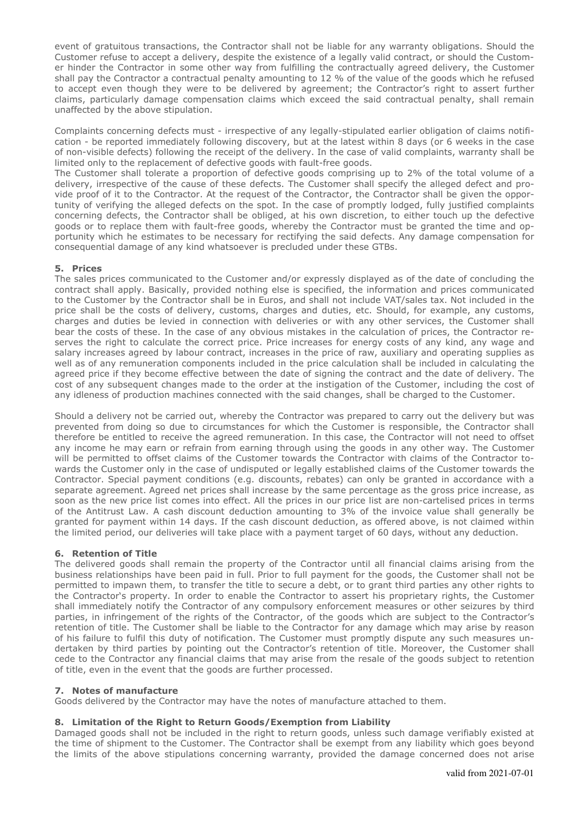event of gratuitous transactions, the Contractor shall not be liable for any warranty obligations. Should the Customer refuse to accept a delivery, despite the existence of a legally valid contract, or should the Customer hinder the Contractor in some other way from fulfilling the contractually agreed delivery, the Customer shall pay the Contractor a contractual penalty amounting to 12 % of the value of the goods which he refused to accept even though they were to be delivered by agreement; the Contractor's right to assert further claims, particularly damage compensation claims which exceed the said contractual penalty, shall remain unaffected by the above stipulation.

Complaints concerning defects must - irrespective of any legally-stipulated earlier obligation of claims notification - be reported immediately following discovery, but at the latest within 8 days (or 6 weeks in the case of non-visible defects) following the receipt of the delivery. In the case of valid complaints, warranty shall be limited only to the replacement of defective goods with fault-free goods.

The Customer shall tolerate a proportion of defective goods comprising up to 2% of the total volume of a delivery, irrespective of the cause of these defects. The Customer shall specify the alleged defect and provide proof of it to the Contractor. At the request of the Contractor, the Contractor shall be given the opportunity of verifying the alleged defects on the spot. In the case of promptly lodged, fully justified complaints concerning defects, the Contractor shall be obliged, at his own discretion, to either touch up the defective goods or to replace them with fault-free goods, whereby the Contractor must be granted the time and opportunity which he estimates to be necessary for rectifying the said defects. Any damage compensation for consequential damage of any kind whatsoever is precluded under these GTBs.

## **5. Prices**

The sales prices communicated to the Customer and/or expressly displayed as of the date of concluding the contract shall apply. Basically, provided nothing else is specified, the information and prices communicated to the Customer by the Contractor shall be in Euros, and shall not include VAT/sales tax. Not included in the price shall be the costs of delivery, customs, charges and duties, etc. Should, for example, any customs, charges and duties be levied in connection with deliveries or with any other services, the Customer shall bear the costs of these. In the case of any obvious mistakes in the calculation of prices, the Contractor reserves the right to calculate the correct price. Price increases for energy costs of any kind, any wage and salary increases agreed by labour contract, increases in the price of raw, auxiliary and operating supplies as well as of any remuneration components included in the price calculation shall be included in calculating the agreed price if they become effective between the date of signing the contract and the date of delivery. The cost of any subsequent changes made to the order at the instigation of the Customer, including the cost of any idleness of production machines connected with the said changes, shall be charged to the Customer.

Should a delivery not be carried out, whereby the Contractor was prepared to carry out the delivery but was prevented from doing so due to circumstances for which the Customer is responsible, the Contractor shall therefore be entitled to receive the agreed remuneration. In this case, the Contractor will not need to offset any income he may earn or refrain from earning through using the goods in any other way. The Customer will be permitted to offset claims of the Customer towards the Contractor with claims of the Contractor towards the Customer only in the case of undisputed or legally established claims of the Customer towards the Contractor. Special payment conditions (e.g. discounts, rebates) can only be granted in accordance with a separate agreement. Agreed net prices shall increase by the same percentage as the gross price increase, as soon as the new price list comes into effect. All the prices in our price list are non-cartelised prices in terms of the Antitrust Law. A cash discount deduction amounting to 3% of the invoice value shall generally be granted for payment within 14 days. If the cash discount deduction, as offered above, is not claimed within the limited period, our deliveries will take place with a payment target of 60 days, without any deduction.

#### **6. Retention of Title**

The delivered goods shall remain the property of the Contractor until all financial claims arising from the business relationships have been paid in full. Prior to full payment for the goods, the Customer shall not be permitted to impawn them, to transfer the title to secure a debt, or to grant third parties any other rights to the Contractor's property. In order to enable the Contractor to assert his proprietary rights, the Customer shall immediately notify the Contractor of any compulsory enforcement measures or other seizures by third parties, in infringement of the rights of the Contractor, of the goods which are subject to the Contractor's retention of title. The Customer shall be liable to the Contractor for any damage which may arise by reason of his failure to fulfil this duty of notification. The Customer must promptly dispute any such measures undertaken by third parties by pointing out the Contractor's retention of title. Moreover, the Customer shall cede to the Contractor any financial claims that may arise from the resale of the goods subject to retention of title, even in the event that the goods are further processed.

#### **7. Notes of manufacture**

Goods delivered by the Contractor may have the notes of manufacture attached to them.

#### **8. Limitation of the Right to Return Goods/Exemption from Liability**

Damaged goods shall not be included in the right to return goods, unless such damage verifiably existed at the time of shipment to the Customer. The Contractor shall be exempt from any liability which goes beyond the limits of the above stipulations concerning warranty, provided the damage concerned does not arise